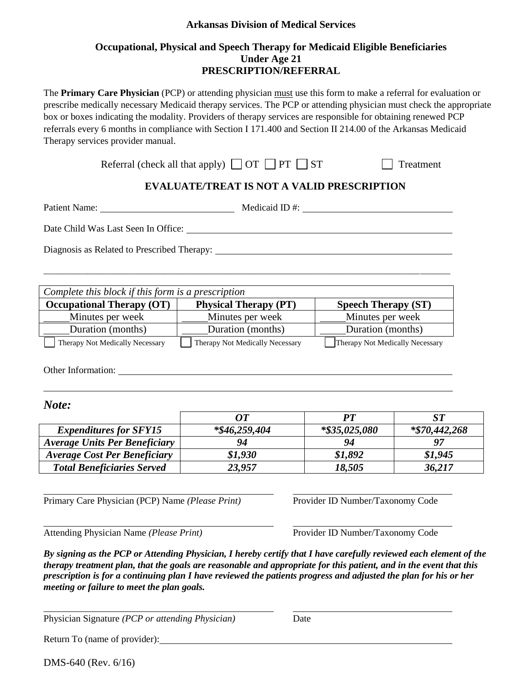# **Arkansas Division of Medical Services**

# **Occupational, Physical and Speech Therapy for Medicaid Eligible Beneficiaries Under Age 21 PRESCRIPTION/REFERRAL**

The **Primary Care Physician** (PCP) or attending physician must use this form to make a referral for evaluation or prescribe medically necessary Medicaid therapy services. The PCP or attending physician must check the appropriate box or boxes indicating the modality. Providers of therapy services are responsible for obtaining renewed PCP referrals every 6 months in compliance with Section I 171.400 and Section II 214.00 of the Arkansas Medicaid Therapy services provider manual.

| Referral (check all that apply) $\Box$ OT $\Box$ PT $\Box$ ST |  | $\Box$ Treatment |
|---------------------------------------------------------------|--|------------------|
|---------------------------------------------------------------|--|------------------|

# **EVALUATE/TREAT IS NOT A VALID PRESCRIPTION**

| Patient Name:                                                                                                                                                                                                                                                                                                                                                                                             |                                 | Medicaid ID #:                   |                                 |  |
|-----------------------------------------------------------------------------------------------------------------------------------------------------------------------------------------------------------------------------------------------------------------------------------------------------------------------------------------------------------------------------------------------------------|---------------------------------|----------------------------------|---------------------------------|--|
| Date Child Was Last Seen In Office:                                                                                                                                                                                                                                                                                                                                                                       |                                 |                                  |                                 |  |
| Diagnosis as Related to Prescribed Therapy:                                                                                                                                                                                                                                                                                                                                                               |                                 |                                  |                                 |  |
|                                                                                                                                                                                                                                                                                                                                                                                                           |                                 |                                  |                                 |  |
|                                                                                                                                                                                                                                                                                                                                                                                                           |                                 |                                  |                                 |  |
| Complete this block if this form is a prescription                                                                                                                                                                                                                                                                                                                                                        |                                 |                                  |                                 |  |
| <b>Occupational Therapy (OT)</b>                                                                                                                                                                                                                                                                                                                                                                          | <b>Physical Therapy (PT)</b>    |                                  | <b>Speech Therapy (ST)</b>      |  |
| Minutes per week                                                                                                                                                                                                                                                                                                                                                                                          | Minutes per week                |                                  | Minutes per week                |  |
| Duration (months)                                                                                                                                                                                                                                                                                                                                                                                         | Duration (months)               |                                  | Duration (months)               |  |
| Therapy Not Medically Necessary                                                                                                                                                                                                                                                                                                                                                                           | Therapy Not Medically Necessary |                                  | Therapy Not Medically Necessary |  |
| Note:                                                                                                                                                                                                                                                                                                                                                                                                     | <b>OT</b>                       | PT                               | ST                              |  |
| <b>Expenditures for SFY15</b>                                                                                                                                                                                                                                                                                                                                                                             | $*$ \$46,259,404                | *\$35,025,080                    | *\$70,442,268                   |  |
| <b>Average Units Per Beneficiary</b>                                                                                                                                                                                                                                                                                                                                                                      | 94                              | 94                               | 97                              |  |
| <b>Average Cost Per Beneficiary</b>                                                                                                                                                                                                                                                                                                                                                                       | \$1,930                         | \$1,892                          | \$1,945                         |  |
| <b>Total Beneficiaries Served</b>                                                                                                                                                                                                                                                                                                                                                                         | 23,957                          | 18,505                           | 36,217                          |  |
| Primary Care Physician (PCP) Name (Please Print)                                                                                                                                                                                                                                                                                                                                                          |                                 | Provider ID Number/Taxonomy Code |                                 |  |
| Attending Physician Name (Please Print)                                                                                                                                                                                                                                                                                                                                                                   |                                 | Provider ID Number/Taxonomy Code |                                 |  |
| By signing as the PCP or Attending Physician, I hereby certify that I have carefully reviewed each element of the<br>therapy treatment plan, that the goals are reasonable and appropriate for this patient, and in the event that this<br>prescription is for a continuing plan I have reviewed the patients progress and adjusted the plan for his or her<br>meeting or failure to meet the plan goals. |                                 |                                  |                                 |  |

Physician Signature *(PCP or attending Physician)* Date

Return To (name of provider):

DMS-640 (Rev. 6/16)